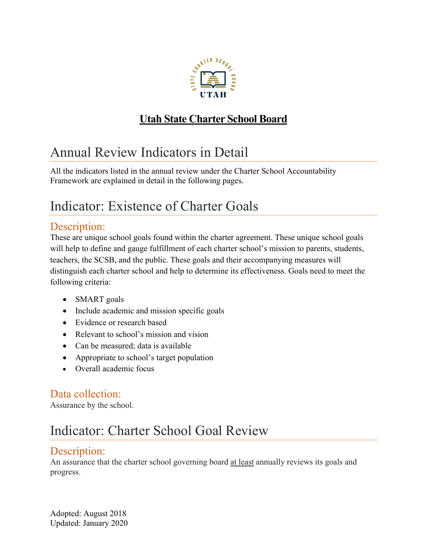

### **Utah State Charter School Board**

# Annual Review Indicators in Detail

All the indicators listed in the annual review under the Charter School Accountability Framework are explained in detail in the following pages.

# Indicator: Existence of Charter Goals

### Description:

These are unique school goals found within the charter agreement. These unique school goals will help to define and gauge fulfillment of each charter school's mission to parents, students, teachers, the SCSB, and the public. These goals and their accompanying measures will distinguish each charter school and help to determine its effectiveness. Goals need to meet the following criteria:

- SMART goals
- Include academic and mission specific goals
- Evidence or research based
- Relevant to school's mission and vision
- Can be measured; data is available
- Appropriate to school's target population
- Overall academic focus

#### Data collection:

Assurance by the school.

## Indicator: Charter School Goal Review

### Description:

An assurance that the charter school governing board at least annually reviews its goals and progress.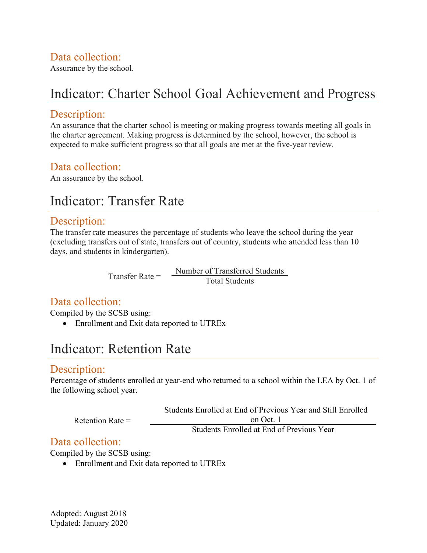### Data collection:

Assurance by the school.

## Indicator: Charter School Goal Achievement and Progress

#### Description:

An assurance that the charter school is meeting or making progress towards meeting all goals in the charter agreement. Making progress is determined by the school, however, the school is expected to make sufficient progress so that all goals are met at the five-year review.

### Data collection:

An assurance by the school.

### Indicator: Transfer Rate

#### Description:

The transfer rate measures the percentage of students who leave the school during the year (excluding transfers out of state, transfers out of country, students who attended less than 10 days, and students in kindergarten).

> Number of Transferred Students Transfer Rate = Total Students

### Data collection:

Compiled by the SCSB using:

• Enrollment and Exit data reported to UTREx

### Indicator: Retention Rate

#### Description:

Percentage of students enrolled at year-end who returned to a school within the LEA by Oct. 1 of the following school year.

| Retention Rate $=$ | Students Enrolled at End of Previous Year and Still Enrolled |
|--------------------|--------------------------------------------------------------|
|                    | on Oct. 1                                                    |
|                    | Students Enrolled at End of Previous Year                    |

#### Data collection:

Compiled by the SCSB using:

• Enrollment and Exit data reported to UTREx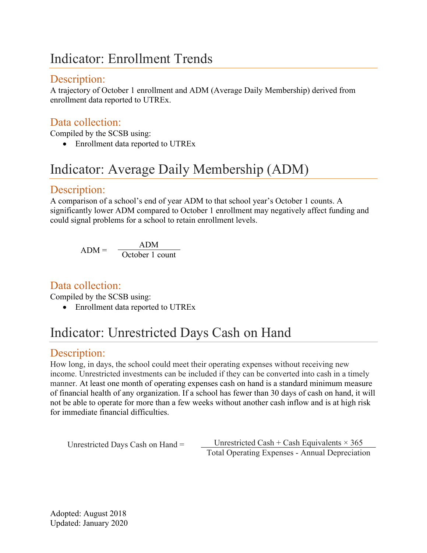## Indicator: Enrollment Trends

### Description:

A trajectory of October 1 enrollment and ADM (Average Daily Membership) derived from enrollment data reported to UTREx.

### Data collection:

Compiled by the SCSB using:

• Enrollment data reported to UTREx

# Indicator: Average Daily Membership (ADM)

### Description:

A comparison of a school's end of year ADM to that school year's October 1 counts. A significantly lower ADM compared to October 1 enrollment may negatively affect funding and could signal problems for a school to retain enrollment levels.

$$
ADM = \frac{ADM}{October 1 count}
$$

### Data collection:

Compiled by the SCSB using:

• Enrollment data reported to UTREx

# Indicator: Unrestricted Days Cash on Hand

### Description:

How long, in days, the school could meet their operating expenses without receiving new income. Unrestricted investments can be included if they can be converted into cash in a timely manner. At least one month of operating expenses cash on hand is a standard minimum measure of financial health of any organization. If a school has fewer than 30 days of cash on hand, it will not be able to operate for more than a few weeks without another cash inflow and is at high risk for immediate financial difficulties.

Unrestricted Cash + Cash Equivalents  $\times$  365 Total Operating Expenses - Annual Depreciation Unrestricted Days Cash on Hand =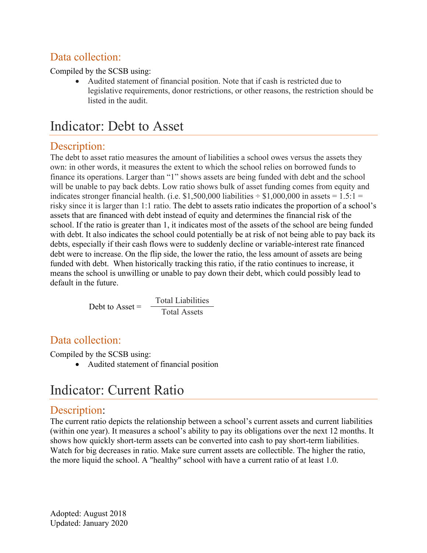### Data collection:

Compiled by the SCSB using:

• Audited statement of financial position. Note that if cash is restricted due to legislative requirements, donor restrictions, or other reasons, the restriction should be listed in the audit.

## Indicator: Debt to Asset

### Description:

The debt to asset ratio measures the amount of liabilities a school owes versus the assets they own: in other words, it measures the extent to which the school relies on borrowed funds to finance its operations. Larger than "1" shows assets are being funded with debt and the school will be unable to pay back debts. Low ratio shows bulk of asset funding comes from equity and indicates stronger financial health. (i.e. \$1,500,000 liabilities  $\div$  \$1,000,000 in assets = 1.5:1 = risky since it is larger than 1:1 ratio. The debt to assets ratio indicates the proportion of a school's assets that are financed with debt instead of equity and determines the financial risk of the school. If the ratio is greater than 1, it indicates most of the assets of the school are being funded with debt. It also indicates the school could potentially be at risk of not being able to pay back its debts, especially if their cash flows were to suddenly decline or variable-interest rate financed debt were to increase. On the flip side, the lower the ratio, the less amount of assets are being funded with debt. When historically tracking this ratio, if the ratio continues to increase, it means the school is unwilling or unable to pay down their debt, which could possibly lead to default in the future.

> Total Liabilities Debt to Asset =  $\frac{1}{\text{Total Assets}}$

### Data collection:

Compiled by the SCSB using:

• Audited statement of financial position

## Indicator: Current Ratio

### Description:

The current ratio depicts the relationship between a school's current assets and current liabilities (within one year). It measures a school's ability to pay its obligations over the next 12 months. It shows how quickly short-term assets can be converted into cash to pay short-term liabilities. Watch for big decreases in ratio. Make sure current assets are collectible. The higher the ratio, the more liquid the school. A "healthy" school with have a current ratio of at least 1.0.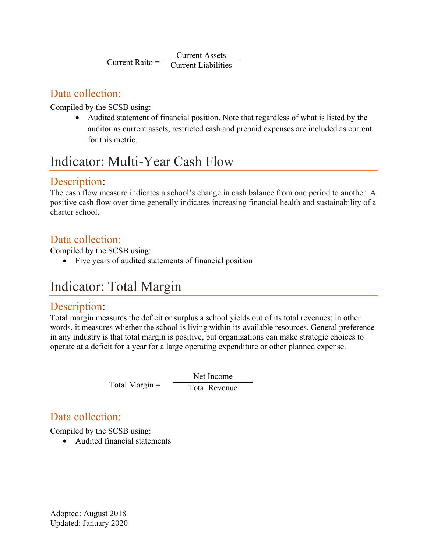Current Assets  $Current Ratio = \frac{Current~I_{isا}^{SUSC}}{Current~I_{is}^{SUSC}}$ 

### Data collection:

Compiled by the SCSB using:

• Audited statement of financial position. Note that regardless of what is listed by the auditor as current assets, restricted cash and prepaid expenses are included as current for this metric.

# Indicator: Multi-Year Cash Flow

### Description:

The cash flow measure indicates a school's change in cash balance from one period to another. A positive cash flow over time generally indicates increasing financial health and sustainability of a charter school.

### Data collection:

Compiled by the SCSB using:

• Five years of audited statements of financial position

## Indicator: Total Margin

### Description:

Total margin measures the deficit or surplus a school yields out of its total revenues; in other words, it measures whether the school is living within its available resources. General preference in any industry is that total margin is positive, but organizations can make strategic choices to operate at a deficit for a year for a large operating expenditure or other planned expense.

> Net Income  $Total Margin = \frac{Total Revenue}{Total Revenue}$

### Data collection:

Compiled by the SCSB using:

• Audited financial statements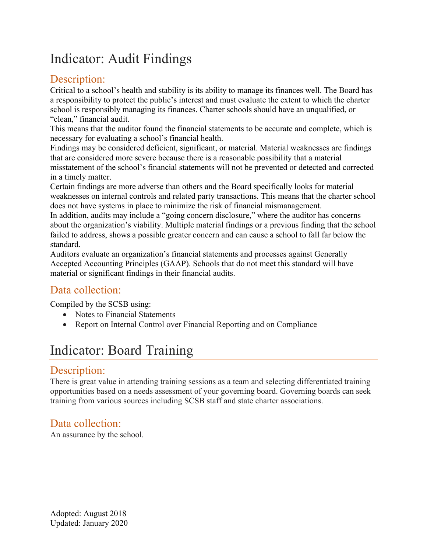## Indicator: Audit Findings

### Description:

Critical to a school's health and stability is its ability to manage its finances well. The Board has a responsibility to protect the public's interest and must evaluate the extent to which the charter school is responsibly managing its finances. Charter schools should have an unqualified, or "clean," financial audit.

This means that the auditor found the financial statements to be accurate and complete, which is necessary for evaluating a school's financial health.

Findings may be considered deficient, significant, or material. Material weaknesses are findings that are considered more severe because there is a reasonable possibility that a material misstatement of the school's financial statements will not be prevented or detected and corrected in a timely matter.

Certain findings are more adverse than others and the Board specifically looks for material weaknesses on internal controls and related party transactions. This means that the charter school does not have systems in place to minimize the risk of financial mismanagement.

In addition, audits may include a "going concern disclosure," where the auditor has concerns about the organization's viability. Multiple material findings or a previous finding that the school failed to address, shows a possible greater concern and can cause a school to fall far below the standard.

Auditors evaluate an organization's financial statements and processes against Generally Accepted Accounting Principles (GAAP). Schools that do not meet this standard will have material or significant findings in their financial audits.

### Data collection:

Compiled by the SCSB using:

- Notes to Financial Statements
- Report on Internal Control over Financial Reporting and on Compliance

# Indicator: Board Training

### Description:

There is great value in attending training sessions as a team and selecting differentiated training opportunities based on a needs assessment of your governing board. Governing boards can seek training from various sources including SCSB staff and state charter associations.

### Data collection:

An assurance by the school.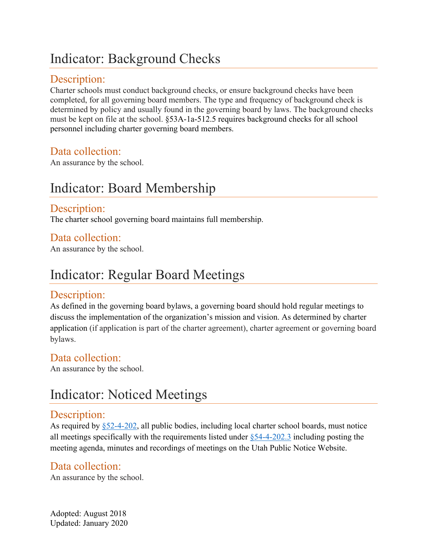## Indicator: Background Checks

### Description:

Charter schools must conduct background checks, or ensure background checks have been completed, for all governing board members. The type and frequency of background check is determined by policy and usually found in the governing board by laws. The background checks must be kept on file at the school. §53A-1a-512.5 requires background checks for all school personnel including charter governing board members.

#### Data collection:

An assurance by the school.

## Indicator: Board Membership

#### Description:

The charter school governing board maintains full membership.

### Data collection:

An assurance by the school.

## Indicator: Regular Board Meetings

### Description:

As defined in the governing board bylaws, a governing board should hold regular meetings to discuss the implementation of the organization's mission and vision. As determined by charter application (if application is part of the charter agreement), charter agreement or governing board bylaws.

#### Data collection:

An assurance by the school.

## Indicator: Noticed Meetings

#### Description:

As required by [§52-4-202,](https://le.utah.gov/xcode/Title52/Chapter4/52-4-S202.html?v=C52-4-S202_2016031820160318) all public bodies, including local charter school boards, must notice all meetings specifically with the requirements listed under [§54-4-202.3](https://le.utah.gov/xcode/Title52/Chapter4/52-4-S202.html?v=C52-4-S202_2016031820160318) including posting the meeting agenda, minutes and recordings of meetings on the Utah Public Notice Website.

### Data collection:

An assurance by the school.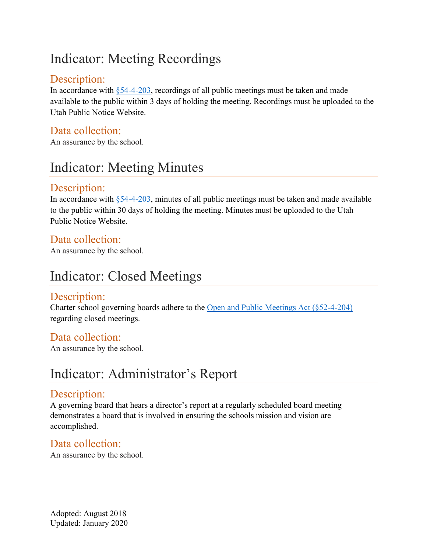# Indicator: Meeting Recordings

### Description:

In accordance with  $\S$ 54-4-203, recordings of all public meetings must be taken and made available to the public within 3 days of holding the meeting. Recordings must be uploaded to the Utah Public Notice Website.

### Data collection:

An assurance by the school.

## Indicator: Meeting Minutes

### Description:

In accordance with  $\S$ 54-4-203, minutes of all public meetings must be taken and made available to the public within 30 days of holding the meeting. Minutes must be uploaded to the Utah Public Notice Website.

### Data collection:

An assurance by the school.

## Indicator: Closed Meetings

### Description:

Charter school governing boards adhere to the [Open and Public Meetings Act \(§52-4-204\)](https://le.utah.gov/xcode/Title52/Chapter4/52-4-S204.html?v=C52-4-S204_1800010118000101) regarding closed meetings.

### Data collection:

An assurance by the school.

### Indicator: Administrator's Report

### Description:

A governing board that hears a director's report at a regularly scheduled board meeting demonstrates a board that is involved in ensuring the schools mission and vision are accomplished.

### Data collection:

An assurance by the school.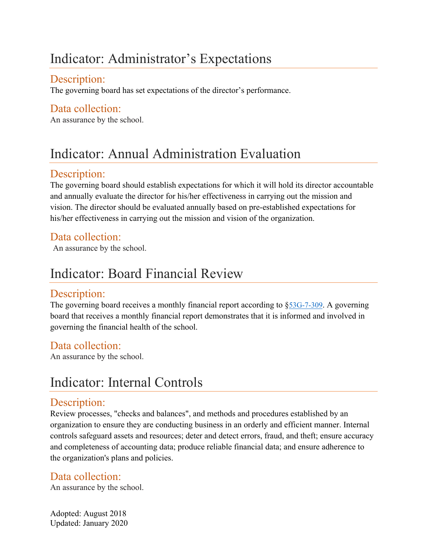## Indicator: Administrator's Expectations

### Description:

The governing board has set expectations of the director's performance.

### Data collection:

An assurance by the school.

# Indicator: Annual Administration Evaluation

### Description:

The governing board should establish expectations for which it will hold its director accountable and annually evaluate the director for his/her effectiveness in carrying out the mission and vision. The director should be evaluated annually based on pre-established expectations for his/her effectiveness in carrying out the mission and vision of the organization.

### Data collection:

An assurance by the school.

## Indicator: Board Financial Review

### Description:

The governing board receives a monthly financial report according to \$53G-7-309. A governing board that receives a monthly financial report demonstrates that it is informed and involved in governing the financial health of the school.

### Data collection:

An assurance by the school.

## Indicator: Internal Controls

### Description:

Review processes, "checks and balances", and methods and procedures established by an organization to ensure they are conducting business in an orderly and efficient manner. Internal controls safeguard assets and resources; deter and detect errors, fraud, and theft; ensure accuracy and completeness of accounting data; produce reliable financial data; and ensure adherence to the organization's plans and policies.

### Data collection:

An assurance by the school.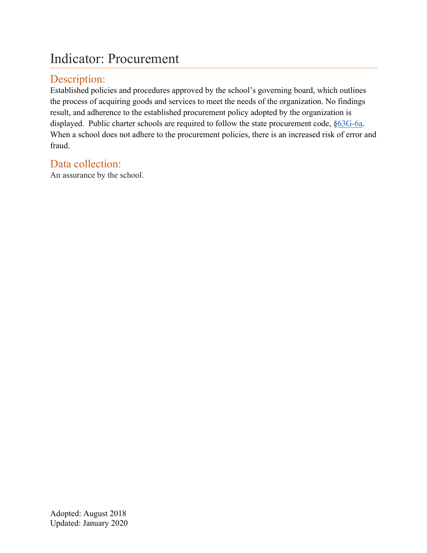### Indicator: Procurement

### Description:

Established policies and procedures approved by the school's governing board, which outlines the process of acquiring goods and services to meet the needs of the organization. No findings result, and adherence to the established procurement policy adopted by the organization is displayed. Public charter schools are required to follow the state procurement code, [§63G-6a.](https://le.utah.gov/xcode/Title63G/Chapter6A/63G-6a.html) When a school does not adhere to the procurement policies, there is an increased risk of error and fraud.

### Data collection:

An assurance by the school.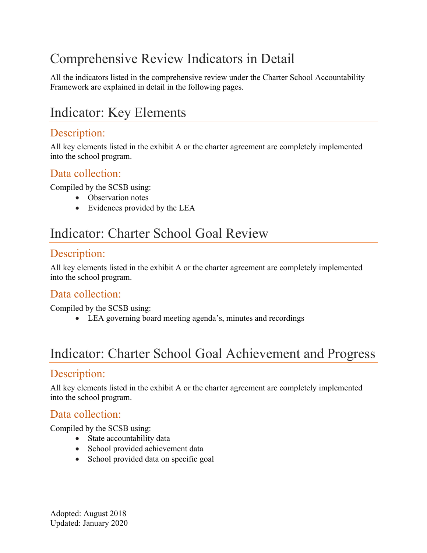# Comprehensive Review Indicators in Detail

All the indicators listed in the comprehensive review under the Charter School Accountability Framework are explained in detail in the following pages.

# Indicator: Key Elements

### Description:

All key elements listed in the exhibit A or the charter agreement are completely implemented into the school program.

### Data collection:

Compiled by the SCSB using:

- Observation notes
- Evidences provided by the LEA

## Indicator: Charter School Goal Review

### Description:

All key elements listed in the exhibit A or the charter agreement are completely implemented into the school program.

### Data collection:

Compiled by the SCSB using:

• LEA governing board meeting agenda's, minutes and recordings

## Indicator: Charter School Goal Achievement and Progress

### Description:

All key elements listed in the exhibit A or the charter agreement are completely implemented into the school program.

### Data collection:

Compiled by the SCSB using:

- State accountability data
- School provided achievement data
- School provided data on specific goal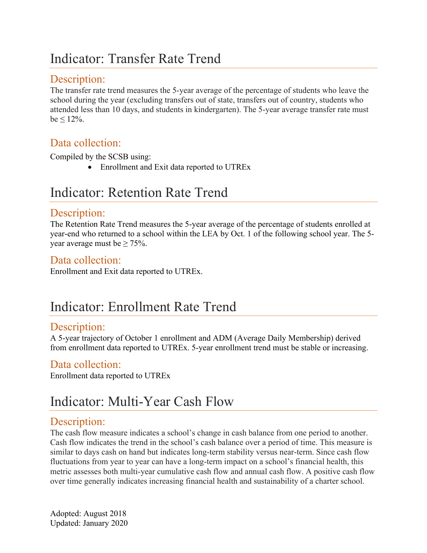## Indicator: Transfer Rate Trend

### Description:

The transfer rate trend measures the 5-year average of the percentage of students who leave the school during the year (excluding transfers out of state, transfers out of country, students who attended less than 10 days, and students in kindergarten). The 5-year average transfer rate must  $be \leq 12\%$ .

### Data collection:

Compiled by the SCSB using:

• Enrollment and Exit data reported to UTREx

## Indicator: Retention Rate Trend

#### Description:

The Retention Rate Trend measures the 5-year average of the percentage of students enrolled at year-end who returned to a school within the LEA by Oct. 1 of the following school year. The 5 year average must be  $\geq 75\%$ .

### Data collection:

Enrollment and Exit data reported to UTREx.

### Indicator: Enrollment Rate Trend

### Description:

A 5-year trajectory of October 1 enrollment and ADM (Average Daily Membership) derived from enrollment data reported to UTREx. 5-year enrollment trend must be stable or increasing.

### Data collection:

Enrollment data reported to UTREx

## Indicator: Multi-Year Cash Flow

### Description:

The cash flow measure indicates a school's change in cash balance from one period to another. Cash flow indicates the trend in the school's cash balance over a period of time. This measure is similar to days cash on hand but indicates long-term stability versus near-term. Since cash flow fluctuations from year to year can have a long-term impact on a school's financial health, this metric assesses both multi-year cumulative cash flow and annual cash flow. A positive cash flow over time generally indicates increasing financial health and sustainability of a charter school.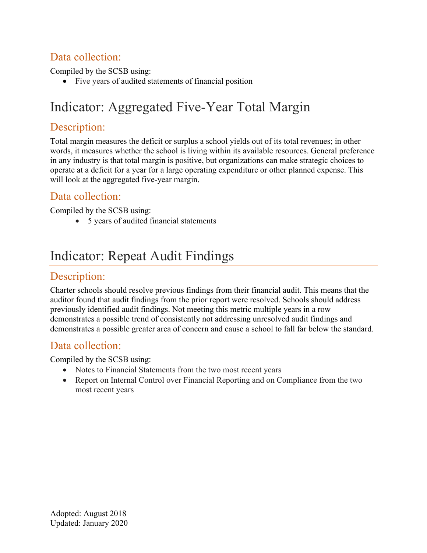### Data collection:

Compiled by the SCSB using:

• Five years of audited statements of financial position

## Indicator: Aggregated Five-Year Total Margin

### Description:

Total margin measures the deficit or surplus a school yields out of its total revenues; in other words, it measures whether the school is living within its available resources. General preference in any industry is that total margin is positive, but organizations can make strategic choices to operate at a deficit for a year for a large operating expenditure or other planned expense. This will look at the aggregated five-year margin.

### Data collection:

Compiled by the SCSB using:

• 5 years of audited financial statements

## Indicator: Repeat Audit Findings

#### Description:

Charter schools should resolve previous findings from their financial audit. This means that the auditor found that audit findings from the prior report were resolved. Schools should address previously identified audit findings. Not meeting this metric multiple years in a row demonstrates a possible trend of consistently not addressing unresolved audit findings and demonstrates a possible greater area of concern and cause a school to fall far below the standard.

### Data collection:

Compiled by the SCSB using:

- Notes to Financial Statements from the two most recent years
- Report on Internal Control over Financial Reporting and on Compliance from the two most recent years